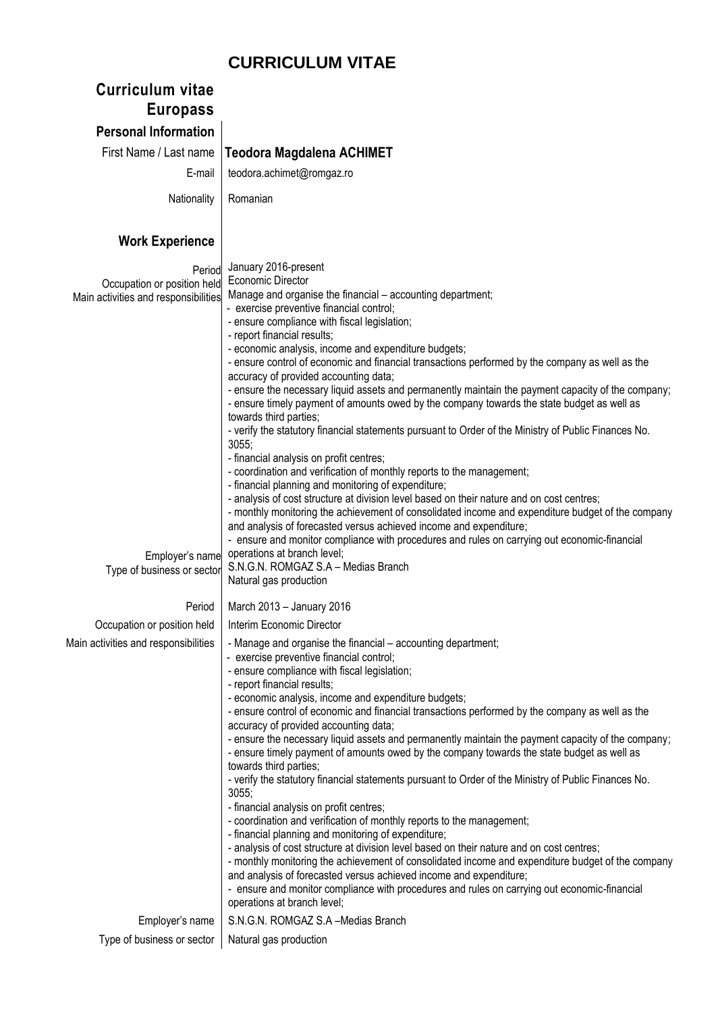## **CURRICULUM VITAE**

| <b>Curriculum vitae</b><br><b>Europass</b>                                    |                                                                                                                                                                                                                                                                                                                                                                                                                                                                                                                                                                                                                                                                                                                                                                                                                                                                                                                                                                                                                                                                                                                                                                                                                                                                                                                                                 |
|-------------------------------------------------------------------------------|-------------------------------------------------------------------------------------------------------------------------------------------------------------------------------------------------------------------------------------------------------------------------------------------------------------------------------------------------------------------------------------------------------------------------------------------------------------------------------------------------------------------------------------------------------------------------------------------------------------------------------------------------------------------------------------------------------------------------------------------------------------------------------------------------------------------------------------------------------------------------------------------------------------------------------------------------------------------------------------------------------------------------------------------------------------------------------------------------------------------------------------------------------------------------------------------------------------------------------------------------------------------------------------------------------------------------------------------------|
| <b>Personal Information</b>                                                   |                                                                                                                                                                                                                                                                                                                                                                                                                                                                                                                                                                                                                                                                                                                                                                                                                                                                                                                                                                                                                                                                                                                                                                                                                                                                                                                                                 |
| First Name / Last name                                                        | <b>Teodora Magdalena ACHIMET</b>                                                                                                                                                                                                                                                                                                                                                                                                                                                                                                                                                                                                                                                                                                                                                                                                                                                                                                                                                                                                                                                                                                                                                                                                                                                                                                                |
| E-mail                                                                        | teodora.achimet@romgaz.ro                                                                                                                                                                                                                                                                                                                                                                                                                                                                                                                                                                                                                                                                                                                                                                                                                                                                                                                                                                                                                                                                                                                                                                                                                                                                                                                       |
| Nationality                                                                   | Romanian                                                                                                                                                                                                                                                                                                                                                                                                                                                                                                                                                                                                                                                                                                                                                                                                                                                                                                                                                                                                                                                                                                                                                                                                                                                                                                                                        |
| <b>Work Experience</b>                                                        |                                                                                                                                                                                                                                                                                                                                                                                                                                                                                                                                                                                                                                                                                                                                                                                                                                                                                                                                                                                                                                                                                                                                                                                                                                                                                                                                                 |
| Period<br>Occupation or position held<br>Main activities and responsibilities | January 2016-present<br><b>Economic Director</b><br>Manage and organise the financial – accounting department;<br>- exercise preventive financial control;<br>- ensure compliance with fiscal legislation;<br>- report financial results;<br>- economic analysis, income and expenditure budgets;<br>- ensure control of economic and financial transactions performed by the company as well as the<br>accuracy of provided accounting data;<br>- ensure the necessary liquid assets and permanently maintain the payment capacity of the company;<br>- ensure timely payment of amounts owed by the company towards the state budget as well as<br>towards third parties;<br>- verify the statutory financial statements pursuant to Order of the Ministry of Public Finances No.<br>3055;<br>- financial analysis on profit centres;<br>- coordination and verification of monthly reports to the management;<br>- financial planning and monitoring of expenditure;<br>- analysis of cost structure at division level based on their nature and on cost centres;<br>- monthly monitoring the achievement of consolidated income and expenditure budget of the company<br>and analysis of forecasted versus achieved income and expenditure;<br>- ensure and monitor compliance with procedures and rules on carrying out economic-financial |
| Employer's name<br>Type of business or sector                                 | operations at branch level;<br>S.N.G.N. ROMGAZ S.A - Medias Branch<br>Natural gas production                                                                                                                                                                                                                                                                                                                                                                                                                                                                                                                                                                                                                                                                                                                                                                                                                                                                                                                                                                                                                                                                                                                                                                                                                                                    |
| Period                                                                        | March 2013 - January 2016                                                                                                                                                                                                                                                                                                                                                                                                                                                                                                                                                                                                                                                                                                                                                                                                                                                                                                                                                                                                                                                                                                                                                                                                                                                                                                                       |
| Occupation or position held                                                   | Interim Economic Director                                                                                                                                                                                                                                                                                                                                                                                                                                                                                                                                                                                                                                                                                                                                                                                                                                                                                                                                                                                                                                                                                                                                                                                                                                                                                                                       |
| Main activities and responsibilities                                          | - Manage and organise the financial - accounting department;<br>- exercise preventive financial control;<br>- ensure compliance with fiscal legislation;<br>- report financial results;<br>- economic analysis, income and expenditure budgets;<br>- ensure control of economic and financial transactions performed by the company as well as the<br>accuracy of provided accounting data;<br>- ensure the necessary liquid assets and permanently maintain the payment capacity of the company;<br>- ensure timely payment of amounts owed by the company towards the state budget as well as<br>towards third parties;<br>- verify the statutory financial statements pursuant to Order of the Ministry of Public Finances No.<br>3055;<br>- financial analysis on profit centres;<br>- coordination and verification of monthly reports to the management;<br>- financial planning and monitoring of expenditure;<br>- analysis of cost structure at division level based on their nature and on cost centres;<br>- monthly monitoring the achievement of consolidated income and expenditure budget of the company<br>and analysis of forecasted versus achieved income and expenditure;<br>- ensure and monitor compliance with procedures and rules on carrying out economic-financial<br>operations at branch level;                    |
| Employer's name                                                               | S.N.G.N. ROMGAZ S.A -Medias Branch                                                                                                                                                                                                                                                                                                                                                                                                                                                                                                                                                                                                                                                                                                                                                                                                                                                                                                                                                                                                                                                                                                                                                                                                                                                                                                              |
| Type of business or sector                                                    | Natural gas production                                                                                                                                                                                                                                                                                                                                                                                                                                                                                                                                                                                                                                                                                                                                                                                                                                                                                                                                                                                                                                                                                                                                                                                                                                                                                                                          |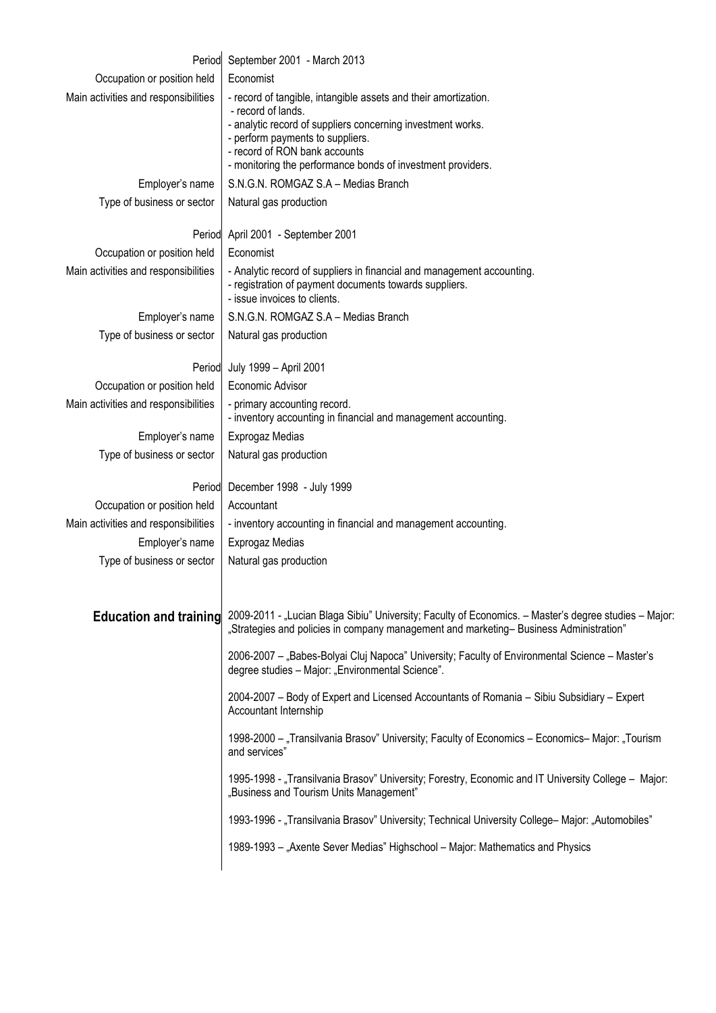|                                      | Period September 2001 - March 2013                                                                                                                                                                                                                                                       |
|--------------------------------------|------------------------------------------------------------------------------------------------------------------------------------------------------------------------------------------------------------------------------------------------------------------------------------------|
| Occupation or position held          | Economist                                                                                                                                                                                                                                                                                |
| Main activities and responsibilities | - record of tangible, intangible assets and their amortization.<br>- record of lands.<br>- analytic record of suppliers concerning investment works.<br>- perform payments to suppliers.<br>- record of RON bank accounts<br>- monitoring the performance bonds of investment providers. |
| Employer's name                      | S.N.G.N. ROMGAZ S.A - Medias Branch                                                                                                                                                                                                                                                      |
| Type of business or sector           | Natural gas production                                                                                                                                                                                                                                                                   |
|                                      | Period April 2001 - September 2001                                                                                                                                                                                                                                                       |
| Occupation or position held          | Economist                                                                                                                                                                                                                                                                                |
| Main activities and responsibilities | - Analytic record of suppliers in financial and management accounting.<br>- registration of payment documents towards suppliers.<br>- issue invoices to clients.                                                                                                                         |
| Employer's name                      | S.N.G.N. ROMGAZ S.A - Medias Branch                                                                                                                                                                                                                                                      |
| Type of business or sector           | Natural gas production                                                                                                                                                                                                                                                                   |
| Period                               | July 1999 - April 2001                                                                                                                                                                                                                                                                   |
| Occupation or position held          | Economic Advisor                                                                                                                                                                                                                                                                         |
| Main activities and responsibilities | - primary accounting record.<br>- inventory accounting in financial and management accounting.                                                                                                                                                                                           |
| Employer's name                      | Exprogaz Medias                                                                                                                                                                                                                                                                          |
| Type of business or sector           | Natural gas production                                                                                                                                                                                                                                                                   |
|                                      | Period December 1998 - July 1999                                                                                                                                                                                                                                                         |
| Occupation or position held          | Accountant                                                                                                                                                                                                                                                                               |
| Main activities and responsibilities | - inventory accounting in financial and management accounting.                                                                                                                                                                                                                           |
| Employer's name                      | Exprogaz Medias                                                                                                                                                                                                                                                                          |
| Type of business or sector           | Natural gas production                                                                                                                                                                                                                                                                   |
| <b>Education and training</b>        | 2009-2011 - "Lucian Blaga Sibiu" University; Faculty of Economics. - Master's degree studies - Major:<br>"Strategies and policies in company management and marketing-Business Administration"                                                                                           |
|                                      | 2006-2007 - "Babes-Bolyai Cluj Napoca" University; Faculty of Environmental Science - Master's<br>degree studies - Major: "Environmental Science".                                                                                                                                       |
|                                      | 2004-2007 - Body of Expert and Licensed Accountants of Romania - Sibiu Subsidiary - Expert<br>Accountant Internship                                                                                                                                                                      |
|                                      | 1998-2000 - "Transilvania Brasov" University; Faculty of Economics - Economics-Major: "Tourism<br>and services"                                                                                                                                                                          |
|                                      | 1995-1998 - "Transilvania Brasov" University; Forestry, Economic and IT University College - Major:<br>"Business and Tourism Units Management"                                                                                                                                           |
|                                      | 1993-1996 - "Transilvania Brasov" University; Technical University College- Major: "Automobiles"                                                                                                                                                                                         |
|                                      | 1989-1993 - "Axente Sever Medias" Highschool - Major: Mathematics and Physics                                                                                                                                                                                                            |
|                                      |                                                                                                                                                                                                                                                                                          |